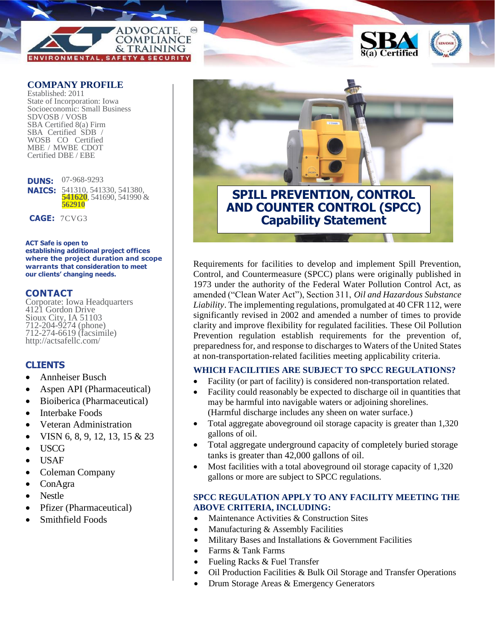



Established: 2011 State of Incorporation: Iowa Socioeconomic: Small Business SDVOSB / VOSB SBA Certified 8(a) Firm SBA Certified SDB / WOSB CO Certified MBE / MWBE CDOT Certified DBE / EBE

**DUNS:**  07-968-9293 **NAICS:** 541310, 541330, 541380, **541620**, 541690, 541990 & **562910**

**CAGE:** 7CVG3

### **ACT Safe is open to establishing additional project offices where the project duration and scope warrants that consideration to meet our clients' changing needs.**

### **CONTACT**

Corporate: Iowa Headquarters 4121 Gordon Drive Sioux City, IA 51103 712-204-9274 (phone) 712-274-6619 (facsimile) http://actsafellc.com/

### **CLIENTS**

- Annheiser Busch
- Aspen API (Pharmaceutical)
- Bioiberica (Pharmaceutical)
- Interbake Foods
- Veteran Administration
- VISN 6, 8, 9, 12, 13, 15 & 23
- USCG
- USAF
- Coleman Company
- ConAgra
- Nestle
- Pfizer (Pharmaceutical)
- Smithfield Foods



Requirements for facilities to develop and implement Spill Prevention, Control, and Countermeasure (SPCC) plans were originally published in 1973 under the authority of the Federal Water Pollution Control Act, as amended ("Clean Water Act"), Section 311, *Oil and Hazardous Substance Liability*. The implementing regulations, promulgated at 40 CFR 112, were significantly revised in 2002 and amended a number of times to provide clarity and improve flexibility for regulated facilities. These Oil Pollution Prevention regulation establish requirements for the prevention of, preparedness for, and response to discharges to Waters of the United States at non-transportation-related facilities meeting applicability criteria.

### **WHICH FACILITIES ARE SUBJECT TO SPCC REGULATIONS?**

- Facility (or part of facility) is considered non-transportation related.
- Facility could reasonably be expected to discharge oil in quantities that may be harmful into navigable waters or adjoining shorelines. (Harmful discharge includes any sheen on water surface.)
- Total aggregate aboveground oil storage capacity is greater than 1,320 gallons of oil.
- Total aggregate underground capacity of completely buried storage tanks is greater than 42,000 gallons of oil.
- Most facilities with a total aboveground oil storage capacity of 1,320 gallons or more are subject to SPCC regulations.

### **SPCC REGULATION APPLY TO ANY FACILITY MEETING THE ABOVE CRITERIA, INCLUDING:**

- Maintenance Activities & Construction Sites
- Manufacturing & Assembly Facilities
- Military Bases and Installations & Government Facilities
- Farms & Tank Farms
- Fueling Racks & Fuel Transfer
- Oil Production Facilities & Bulk Oil Storage and Transfer Operations
- Drum Storage Areas & Emergency Generators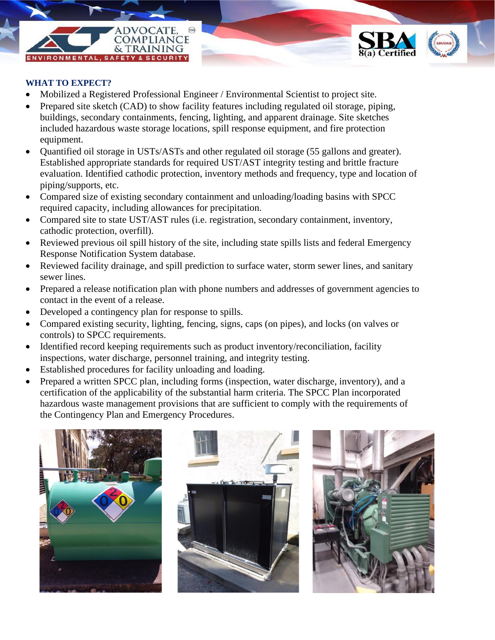# **DVOCATE COMPLIANCE** & TRAINING

### **WHAT TO EXPECT?**

- Mobilized a Registered Professional Engineer / Environmental Scientist to project site.
- Prepared site sketch (CAD) to show facility features including regulated oil storage, piping, buildings, secondary containments, fencing, lighting, and apparent drainage. Site sketches included hazardous waste storage locations, spill response equipment, and fire protection equipment.
- Quantified oil storage in USTs/ASTs and other regulated oil storage (55 gallons and greater). Established appropriate standards for required UST/AST integrity testing and brittle fracture evaluation. Identified cathodic protection, inventory methods and frequency, type and location of piping/supports, etc.
- Compared size of existing secondary containment and unloading/loading basins with SPCC required capacity, including allowances for precipitation.
- Compared site to state UST/AST rules (i.e. registration, secondary containment, inventory, cathodic protection, overfill).
- Reviewed previous oil spill history of the site, including state spills lists and federal Emergency Response Notification System database.
- Reviewed facility drainage, and spill prediction to surface water, storm sewer lines, and sanitary sewer lines.
- Prepared a release notification plan with phone numbers and addresses of government agencies to contact in the event of a release.
- Developed a contingency plan for response to spills.
- Compared existing security, lighting, fencing, signs, caps (on pipes), and locks (on valves or controls) to SPCC requirements.
- Identified record keeping requirements such as product inventory/reconciliation, facility inspections, water discharge, personnel training, and integrity testing.
- Established procedures for facility unloading and loading.
- Prepared a written SPCC plan, including forms (inspection, water discharge, inventory), and a certification of the applicability of the substantial harm criteria. The SPCC Plan incorporated hazardous waste management provisions that are sufficient to comply with the requirements of the Contingency Plan and Emergency Procedures.